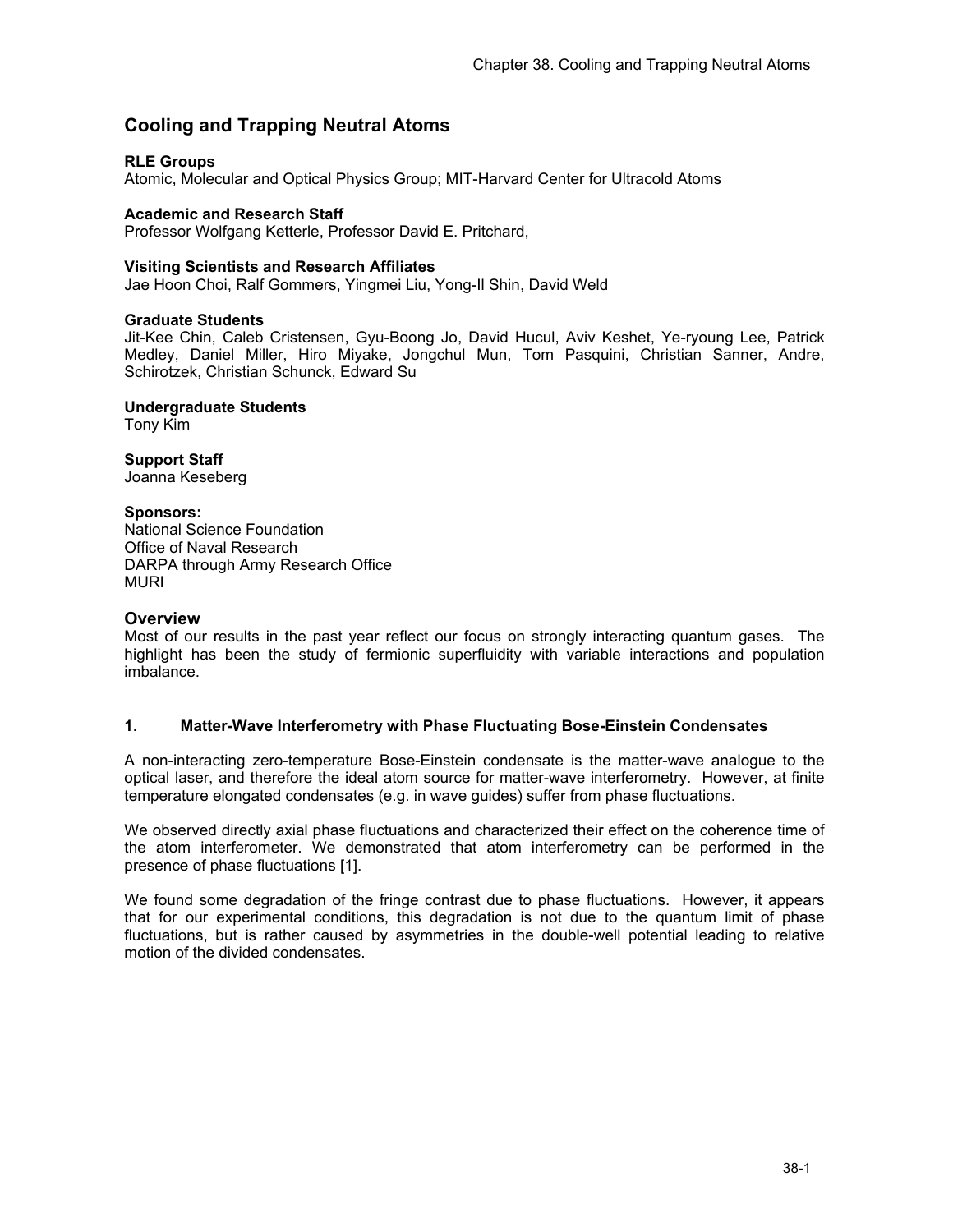# **Cooling and Trapping Neutral Atoms**

# **RLE Groups**

Atomic, Molecular and Optical Physics Group; MIT-Harvard Center for Ultracold Atoms

#### **Academic and Research Staff**

Professor Wolfgang Ketterle, Professor David E. Pritchard,

#### **Visiting Scientists and Research Affiliates**

Jae Hoon Choi, Ralf Gommers, Yingmei Liu, Yong-Il Shin, David Weld

#### **Graduate Students**

Jit-Kee Chin, Caleb Cristensen, Gyu-Boong Jo, David Hucul, Aviv Keshet, Ye-ryoung Lee, Patrick Medley, Daniel Miller, Hiro Miyake, Jongchul Mun, Tom Pasquini, Christian Sanner, Andre, Schirotzek, Christian Schunck, Edward Su

**Undergraduate Students**  Tony Kim

**Support Staff**  Joanna Keseberg

# **Sponsors:**

National Science Foundation Office of Naval Research DARPA through Army Research Office **MURI** 

#### **Overview**

Most of our results in the past year reflect our focus on strongly interacting quantum gases. The highlight has been the study of fermionic superfluidity with variable interactions and population imbalance.

# **1. Matter-Wave Interferometry with Phase Fluctuating Bose-Einstein Condensates**

A non-interacting zero-temperature Bose-Einstein condensate is the matter-wave analogue to the optical laser, and therefore the ideal atom source for matter-wave interferometry. However, at finite temperature elongated condensates (e.g. in wave guides) suffer from phase fluctuations.

We observed directly axial phase fluctuations and characterized their effect on the coherence time of the atom interferometer. We demonstrated that atom interferometry can be performed in the presence of phase fluctuations [1].

We found some degradation of the fringe contrast due to phase fluctuations. However, it appears that for our experimental conditions, this degradation is not due to the quantum limit of phase fluctuations, but is rather caused by asymmetries in the double-well potential leading to relative motion of the divided condensates.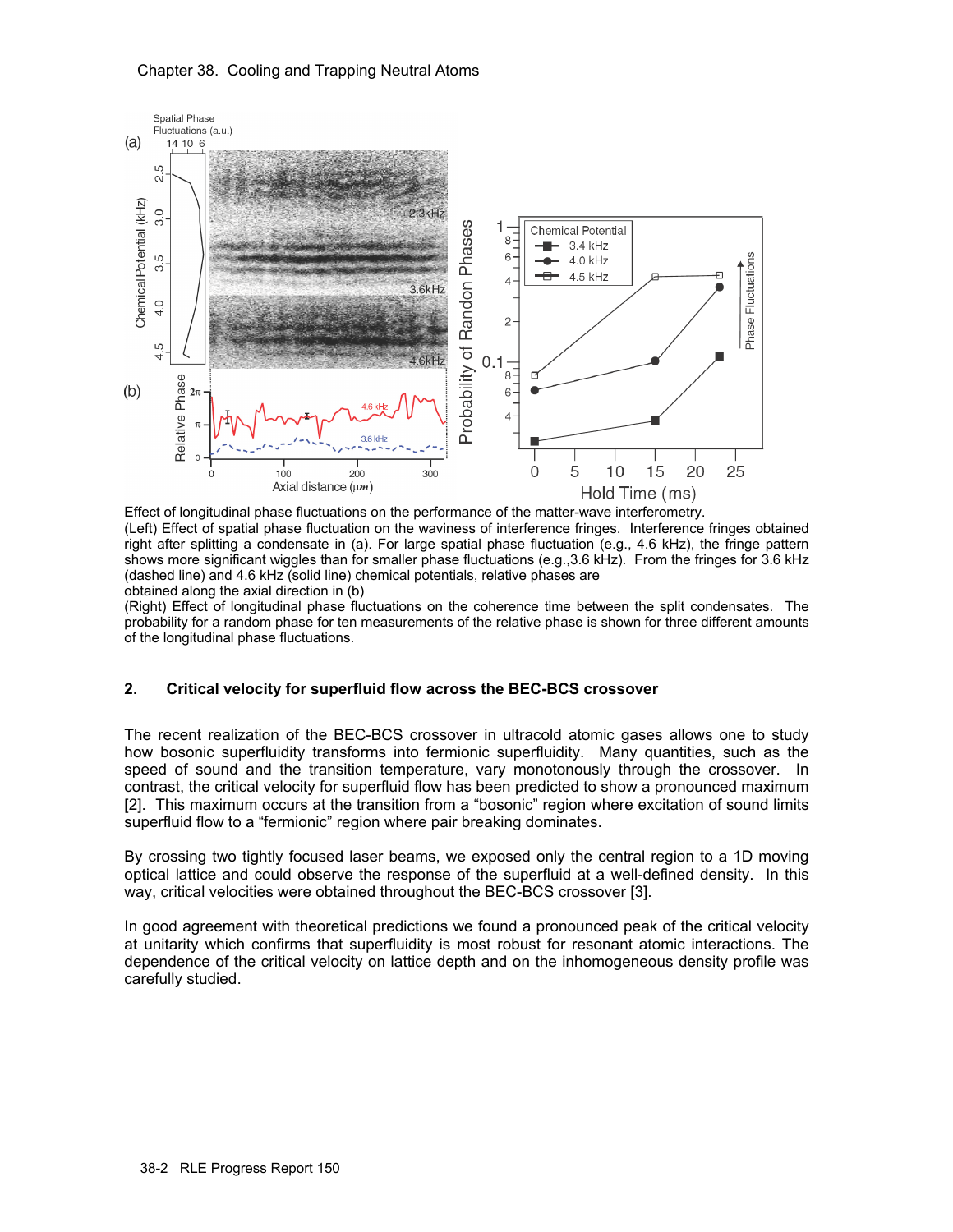# Chapter 38. Cooling and Trapping Neutral Atoms



Effect of longitudinal phase fluctuations on the performance of the matter-wave interferometry. (Left) Effect of spatial phase fluctuation on the waviness of interference fringes. Interference fringes obtained right after splitting a condensate in (a). For large spatial phase fluctuation (e.g., 4.6 kHz), the fringe pattern shows more significant wiggles than for smaller phase fluctuations (e.g.,3.6 kHz). From the fringes for 3.6 kHz (dashed line) and 4.6 kHz (solid line) chemical potentials, relative phases are obtained along the axial direction in (b)

(Right) Effect of longitudinal phase fluctuations on the coherence time between the split condensates. The probability for a random phase for ten measurements of the relative phase is shown for three different amounts of the longitudinal phase fluctuations.

# **2. Critical velocity for superfluid flow across the BEC-BCS crossover**

The recent realization of the BEC-BCS crossover in ultracold atomic gases allows one to study how bosonic superfluidity transforms into fermionic superfluidity. Many quantities, such as the speed of sound and the transition temperature, vary monotonously through the crossover. In contrast, the critical velocity for superfluid flow has been predicted to show a pronounced maximum [2]. This maximum occurs at the transition from a "bosonic" region where excitation of sound limits superfluid flow to a "fermionic" region where pair breaking dominates.

By crossing two tightly focused laser beams, we exposed only the central region to a 1D moving optical lattice and could observe the response of the superfluid at a well-defined density. In this way, critical velocities were obtained throughout the BEC-BCS crossover [3].

In good agreement with theoretical predictions we found a pronounced peak of the critical velocity at unitarity which confirms that superfluidity is most robust for resonant atomic interactions. The dependence of the critical velocity on lattice depth and on the inhomogeneous density profile was carefully studied.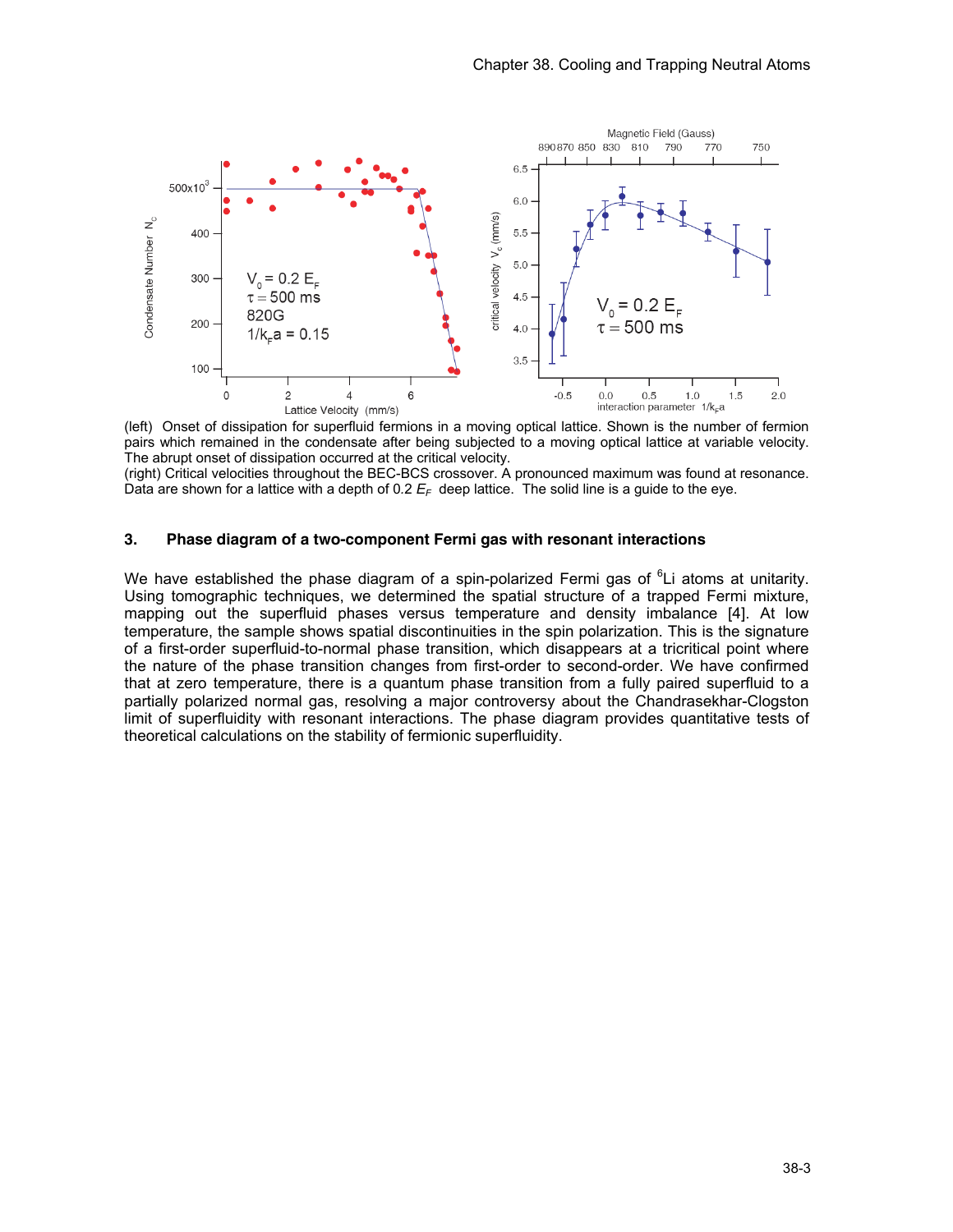

(left) Onset of dissipation for superfluid fermions in a moving optical lattice. Shown is the number of fermion pairs which remained in the condensate after being subjected to a moving optical lattice at variable velocity. The abrupt onset of dissipation occurred at the critical velocity.

(right) Critical velocities throughout the BEC-BCS crossover. A pronounced maximum was found at resonance. Data are shown for a lattice with a depth of 0.2  $E_F$  deep lattice. The solid line is a guide to the eye.

# **3. Phase diagram of a two-component Fermi gas with resonant interactions**

We have established the phase diagram of a spin-polarized Fermi gas of <sup>6</sup>Li atoms at unitarity. Using tomographic techniques, we determined the spatial structure of a trapped Fermi mixture, mapping out the superfluid phases versus temperature and density imbalance [4]. At low temperature, the sample shows spatial discontinuities in the spin polarization. This is the signature of a first-order superfluid-to-normal phase transition, which disappears at a tricritical point where the nature of the phase transition changes from first-order to second-order. We have confirmed that at zero temperature, there is a quantum phase transition from a fully paired superfluid to a partially polarized normal gas, resolving a major controversy about the Chandrasekhar-Clogston limit of superfluidity with resonant interactions. The phase diagram provides quantitative tests of theoretical calculations on the stability of fermionic superfluidity.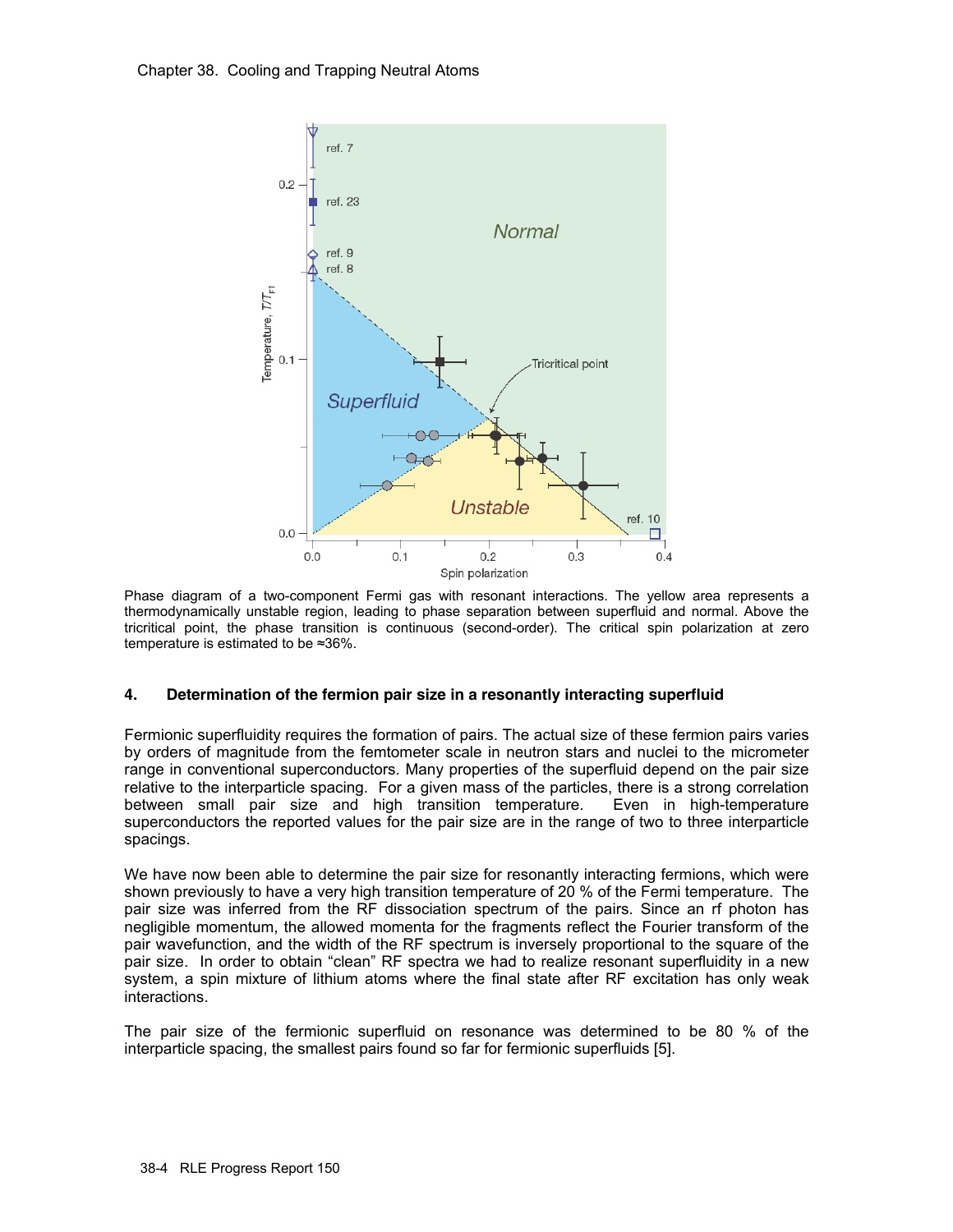

Phase diagram of a two-component Fermi gas with resonant interactions. The yellow area represents a thermodynamically unstable region, leading to phase separation between superfluid and normal. Above the tricritical point, the phase transition is continuous (second-order). The critical spin polarization at zero temperature is estimated to be ≈36%.

# **4. Determination of the fermion pair size in a resonantly interacting superfluid**

Fermionic superfluidity requires the formation of pairs. The actual size of these fermion pairs varies by orders of magnitude from the femtometer scale in neutron stars and nuclei to the micrometer range in conventional superconductors. Many properties of the superfluid depend on the pair size relative to the interparticle spacing. For a given mass of the particles, there is a strong correlation between small pair size and high transition temperature. Even in high-temperature superconductors the reported values for the pair size are in the range of two to three interparticle spacings.

We have now been able to determine the pair size for resonantly interacting fermions, which were shown previously to have a very high transition temperature of 20 % of the Fermi temperature. The pair size was inferred from the RF dissociation spectrum of the pairs. Since an rf photon has negligible momentum, the allowed momenta for the fragments reflect the Fourier transform of the pair wavefunction, and the width of the RF spectrum is inversely proportional to the square of the pair size. In order to obtain "clean" RF spectra we had to realize resonant superfluidity in a new system, a spin mixture of lithium atoms where the final state after RF excitation has only weak interactions.

The pair size of the fermionic superfluid on resonance was determined to be 80 % of the interparticle spacing, the smallest pairs found so far for fermionic superfluids [5].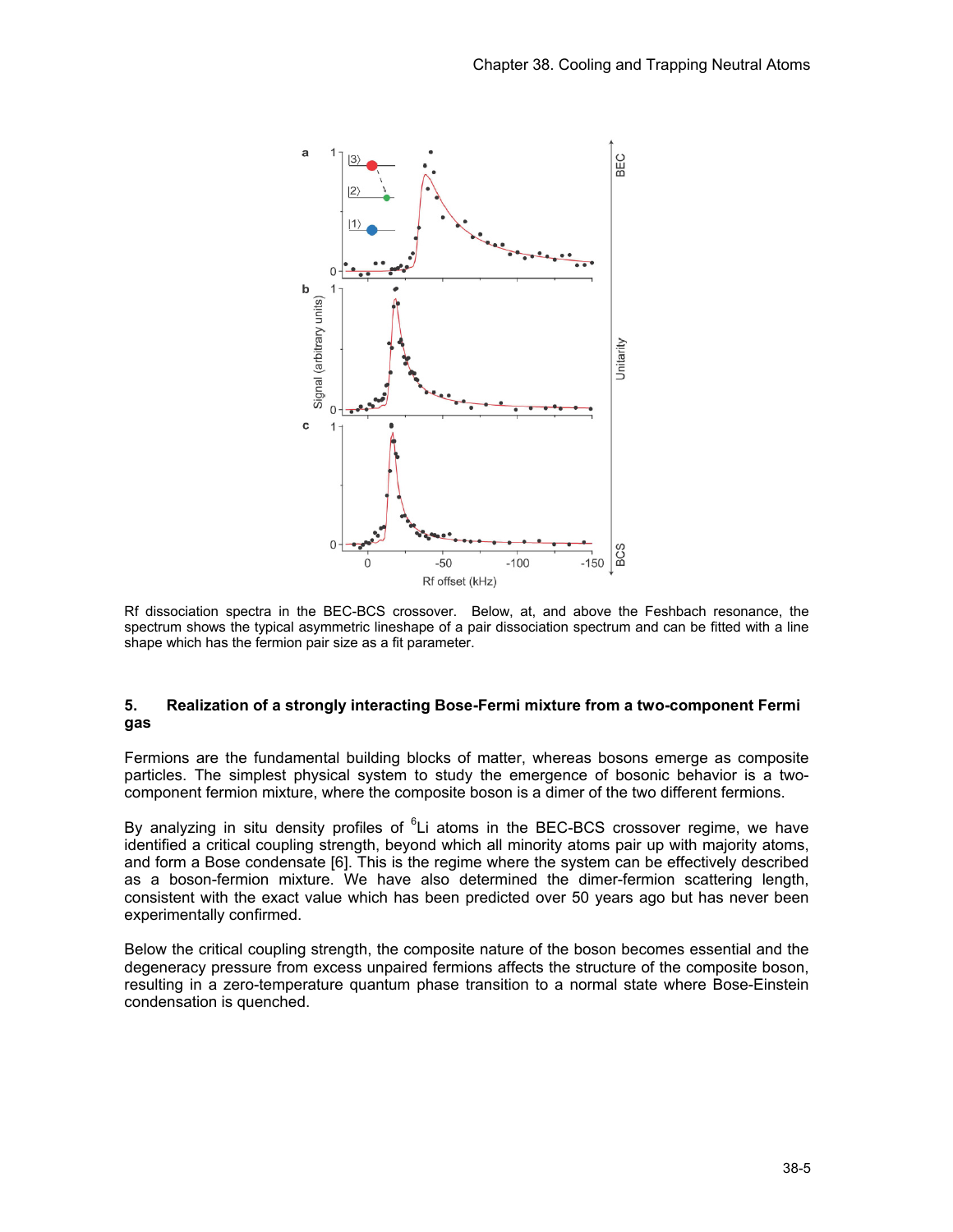

Rf dissociation spectra in the BEC-BCS crossover. Below, at, and above the Feshbach resonance, the spectrum shows the typical asymmetric lineshape of a pair dissociation spectrum and can be fitted with a line shape which has the fermion pair size as a fit parameter.

# **5. Realization of a strongly interacting Bose-Fermi mixture from a two-component Fermi gas**

Fermions are the fundamental building blocks of matter, whereas bosons emerge as composite particles. The simplest physical system to study the emergence of bosonic behavior is a twocomponent fermion mixture, where the composite boson is a dimer of the two different fermions.

By analyzing in situ density profiles of <sup>6</sup>Li atoms in the BEC-BCS crossover regime, we have identified a critical coupling strength, beyond which all minority atoms pair up with majority atoms, and form a Bose condensate [6]. This is the regime where the system can be effectively described as a boson-fermion mixture. We have also determined the dimer-fermion scattering length, consistent with the exact value which has been predicted over 50 years ago but has never been experimentally confirmed.

Below the critical coupling strength, the composite nature of the boson becomes essential and the degeneracy pressure from excess unpaired fermions affects the structure of the composite boson, resulting in a zero-temperature quantum phase transition to a normal state where Bose-Einstein condensation is quenched.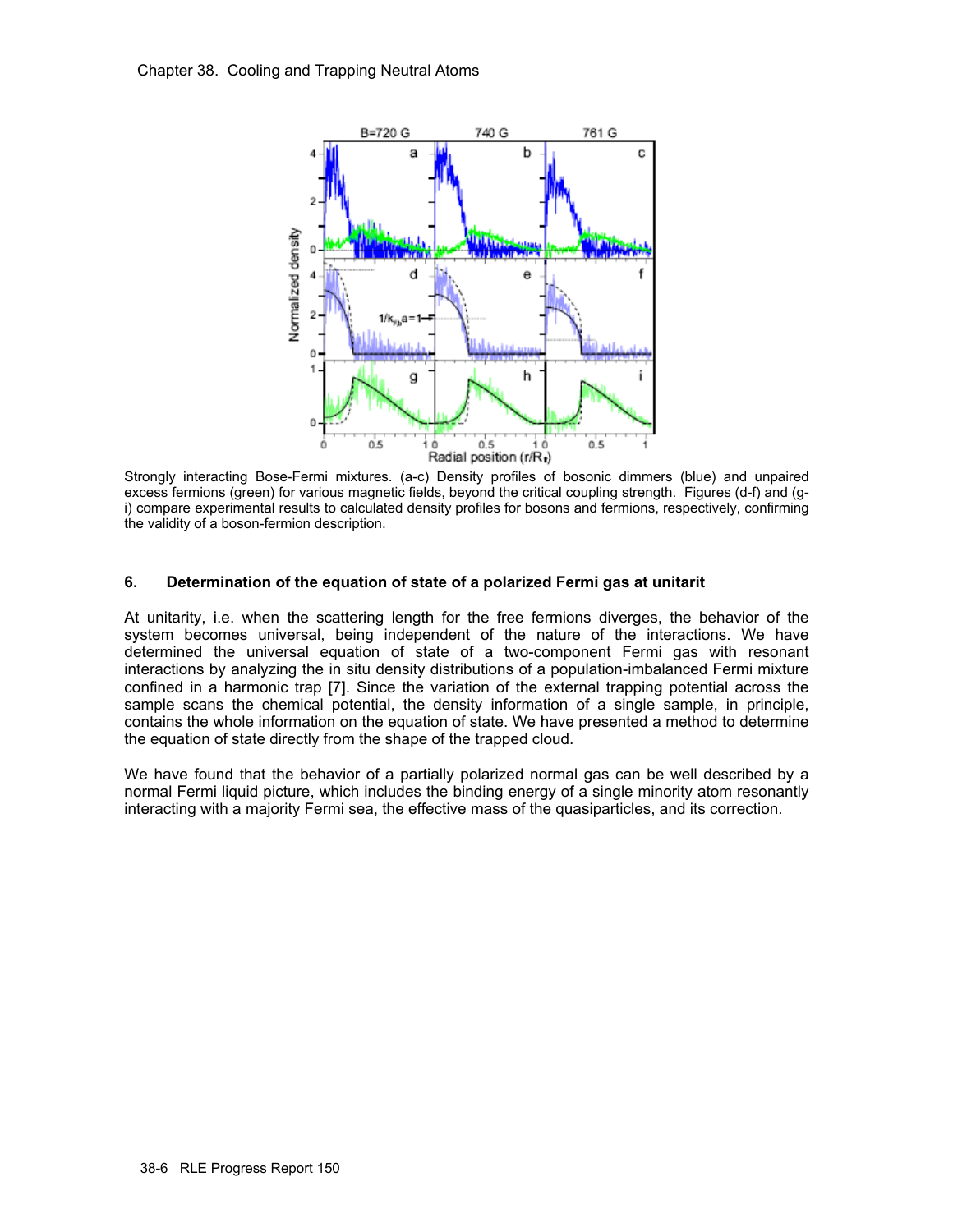

Strongly interacting Bose-Fermi mixtures. (a-c) Density profiles of bosonic dimmers (blue) and unpaired excess fermions (green) for various magnetic fields, beyond the critical coupling strength. Figures (d-f) and (gi) compare experimental results to calculated density profiles for bosons and fermions, respectively, confirming the validity of a boson-fermion description.

# **6. Determination of the equation of state of a polarized Fermi gas at unitarit**

At unitarity, i.e. when the scattering length for the free fermions diverges, the behavior of the system becomes universal, being independent of the nature of the interactions. We have determined the universal equation of state of a two-component Fermi gas with resonant interactions by analyzing the in situ density distributions of a population-imbalanced Fermi mixture confined in a harmonic trap [7]. Since the variation of the external trapping potential across the sample scans the chemical potential, the density information of a single sample, in principle, contains the whole information on the equation of state. We have presented a method to determine the equation of state directly from the shape of the trapped cloud.

We have found that the behavior of a partially polarized normal gas can be well described by a normal Fermi liquid picture, which includes the binding energy of a single minority atom resonantly interacting with a majority Fermi sea, the effective mass of the quasiparticles, and its correction.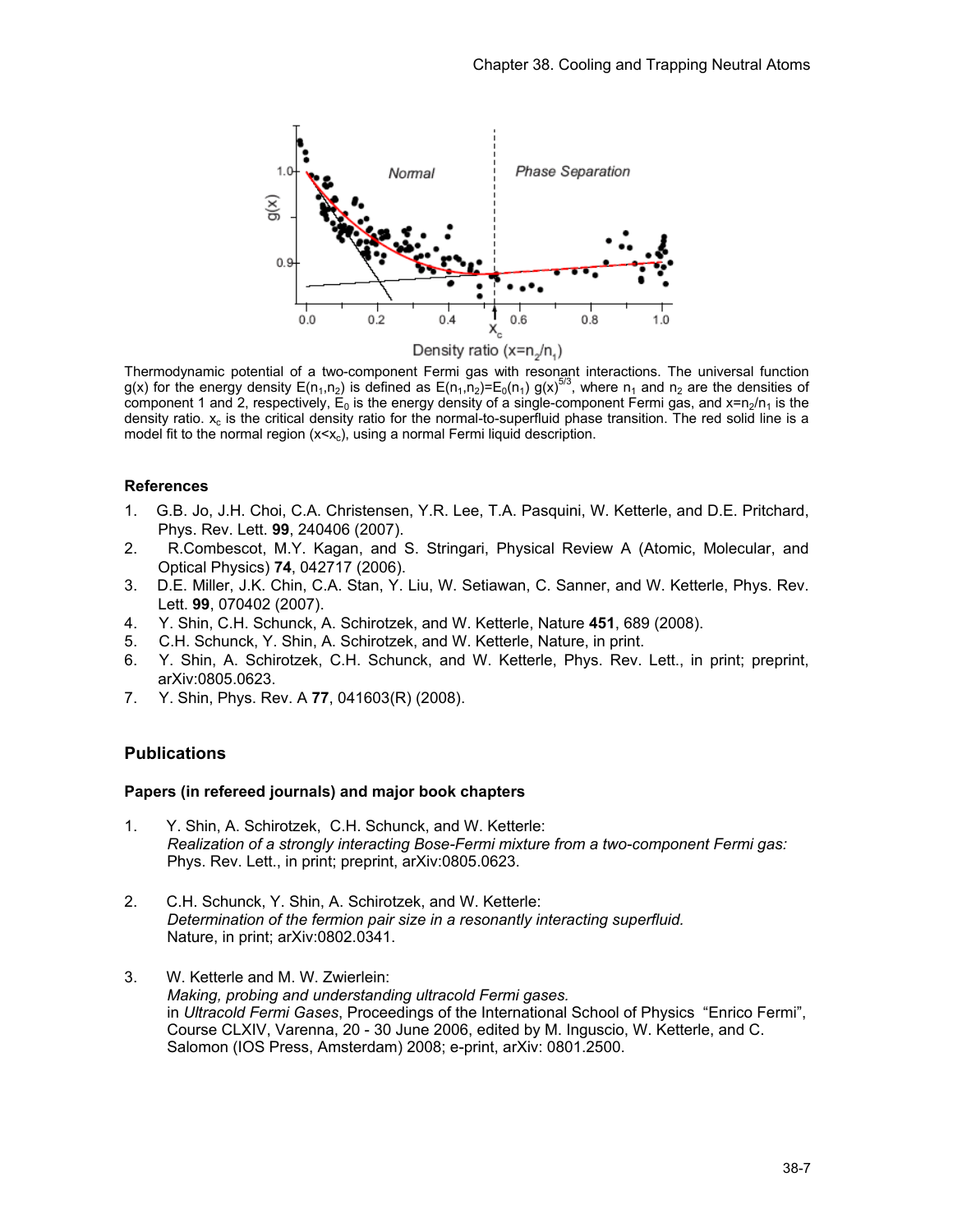

Thermodynamic potential of a two-component Fermi gas with resonant interactions. The universal function g(x) for the energy density E(n<sub>1</sub>,n<sub>2</sub>) is defined as E(n<sub>1</sub>,n<sub>2</sub>)=E<sub>0</sub>(n<sub>1</sub>) g(x)<sup>5/3</sup>, where n<sub>1</sub> and n<sub>2</sub> are the densities of component 1 and 2, respectively,  ${\sf E}_0$  is the energy density of a single-component Fermi gas, and x=n<sub>2</sub>/n<sub>1</sub> is the density ratio.  $x_c$  is the critical density ratio for the normal-to-superfluid phase transition. The red solid line is a model fit to the normal region  $(x < x_c)$ , using a normal Fermi liquid description.

# **References**

- 1. G.B. Jo, J.H. Choi, C.A. Christensen, Y.R. Lee, T.A. Pasquini, W. Ketterle, and D.E. Pritchard, Phys. Rev. Lett. **99**, 240406 (2007).
- 2. R.Combescot, M.Y. Kagan, and S. Stringari, Physical Review A (Atomic, Molecular, and Optical Physics) **74**, 042717 (2006).
- 3. D.E. Miller, J.K. Chin, C.A. Stan, Y. Liu, W. Setiawan, C. Sanner, and W. Ketterle, Phys. Rev. Lett. **99**, 070402 (2007).
- 4. Y. Shin, C.H. Schunck, A. Schirotzek, and W. Ketterle, Nature **451**, 689 (2008).
- 5. C.H. Schunck, Y. Shin, A. Schirotzek, and W. Ketterle, Nature, in print.
- 6. Y. Shin, A. Schirotzek, C.H. Schunck, and W. Ketterle, Phys. Rev. Lett., in print; preprint, arXiv:0805.0623.
- 7. Y. Shin, Phys. Rev. A **77**, 041603(R) (2008).

# **Publications**

# **Papers (in refereed journals) and major book chapters**

- 1. Y. Shin, A. Schirotzek, C.H. Schunck, and W. Ketterle: *Realization of a strongly interacting Bose-Fermi mixture from a two-component Fermi gas:*  Phys. Rev. Lett., in print; preprint, arXiv:0805.0623.
- 2. C.H. Schunck, Y. Shin, A. Schirotzek, and W. Ketterle: *Determination of the fermion pair size in a resonantly interacting superfluid.*  Nature, in print; arXiv:0802.0341.
- 3. W. Ketterle and M. W. Zwierlein: *Making, probing and understanding ultracold Fermi gases.*  in *Ultracold Fermi Gases*, Proceedings of the International School of Physics "Enrico Fermi", Course CLXIV, Varenna, 20 - 30 June 2006, edited by M. Inguscio, W. Ketterle, and C. Salomon (IOS Press, Amsterdam) 2008; e-print, arXiv: 0801.2500.